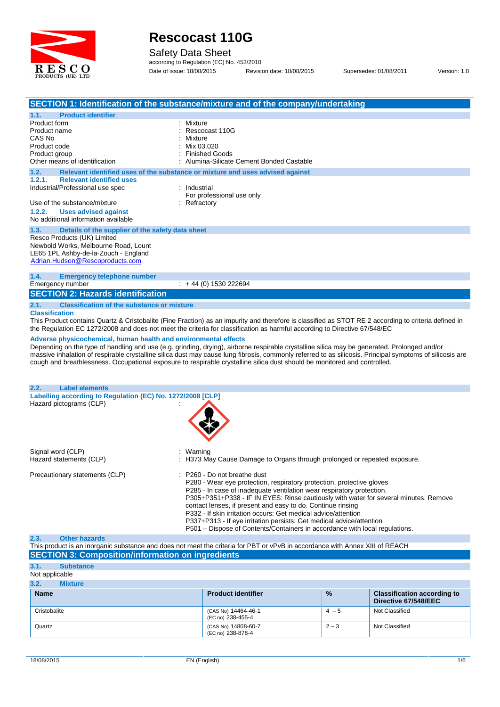

Safety Data Sheet

according to Regulation (EC) No. 453/2010 Date of issue: 18/08/2015 Revision date: 18/08/2015 Supersedes: 01/08/2011 Version: 1.0

|                                                                                                                                                            | SECTION 1: Identification of the substance/mixture and of the company/undertaking                                                                                                                                                                                                                                                                                                                                                                                                                                                                              |
|------------------------------------------------------------------------------------------------------------------------------------------------------------|----------------------------------------------------------------------------------------------------------------------------------------------------------------------------------------------------------------------------------------------------------------------------------------------------------------------------------------------------------------------------------------------------------------------------------------------------------------------------------------------------------------------------------------------------------------|
| 1.1.<br><b>Product identifier</b>                                                                                                                          |                                                                                                                                                                                                                                                                                                                                                                                                                                                                                                                                                                |
| Product form<br>Product name<br>CAS No<br>Product code<br>Product group<br>Other means of identification                                                   | : Mixture<br>Rescocast 110G<br>Mixture<br>Mix 03.020<br><b>Finished Goods</b><br>Alumina-Silicate Cement Bonded Castable                                                                                                                                                                                                                                                                                                                                                                                                                                       |
| 1.2.<br><b>Relevant identified uses</b>                                                                                                                    | Relevant identified uses of the substance or mixture and uses advised against                                                                                                                                                                                                                                                                                                                                                                                                                                                                                  |
| 1.2.1.<br>Industrial/Professional use spec<br>Use of the substance/mixture<br>1.2.2.<br><b>Uses advised against</b><br>No additional information available | : Industrial<br>For professional use only<br>: Refractory                                                                                                                                                                                                                                                                                                                                                                                                                                                                                                      |
| 1.3.<br>Details of the supplier of the safety data sheet                                                                                                   |                                                                                                                                                                                                                                                                                                                                                                                                                                                                                                                                                                |
| Resco Products (UK) Limited<br>Newbold Works, Melbourne Road, Lount<br>LE65 1PL Ashby-de-la-Zouch - England<br>Adrian.Hudson@Rescoproducts.com             |                                                                                                                                                                                                                                                                                                                                                                                                                                                                                                                                                                |
| 1.4.<br><b>Emergency telephone number</b><br>Emergency number                                                                                              | $\div$ + 44 (0) 1530 222694                                                                                                                                                                                                                                                                                                                                                                                                                                                                                                                                    |
| <b>SECTION 2: Hazards identification</b>                                                                                                                   |                                                                                                                                                                                                                                                                                                                                                                                                                                                                                                                                                                |
| 2.1.<br><b>Classification of the substance or mixture</b><br><b>Classification</b><br>Adverse physicochemical, human health and environmental effects      | This Product contains Quartz & Cristobalite (Fine Fraction) as an impurity and therefore is classified as STOT RE 2 according to criteria defined in<br>the Regulation EC 1272/2008 and does not meet the criteria for classification as harmful according to Directive 67/548/EC                                                                                                                                                                                                                                                                              |
|                                                                                                                                                            | Depending on the type of handling and use (e.g. grinding, drying), airborne respirable crystalline silica may be generated. Prolonged and/or<br>massive inhalation of respirable crystalline silica dust may cause lung fibrosis, commonly referred to as silicosis. Principal symptoms of silicosis are<br>cough and breathlessness. Occupational exposure to respirable crystalline silica dust should be monitored and controlled.                                                                                                                          |
| 2.2.<br><b>Label elements</b>                                                                                                                              |                                                                                                                                                                                                                                                                                                                                                                                                                                                                                                                                                                |
| Labelling according to Regulation (EC) No. 1272/2008 [CLP]<br>Hazard pictograms (CLP)                                                                      |                                                                                                                                                                                                                                                                                                                                                                                                                                                                                                                                                                |
| Signal word (CLP)<br>Hazard statements (CLP)                                                                                                               | : Warning<br>: H373 May Cause Damage to Organs through prolonged or repeated exposure.                                                                                                                                                                                                                                                                                                                                                                                                                                                                         |
| Precautionary statements (CLP)                                                                                                                             | : P260 - Do not breathe dust<br>P280 - Wear eye protection, respiratory protection, protective gloves<br>P285 - In case of inadequate ventilation wear respiratory protection.<br>P305+P351+P338 - IF IN EYES: Rinse cautiously with water for several minutes. Remove<br>contact lenses, if present and easy to do. Continue rinsing<br>P332 - If skin irritation occurs: Get medical advice/attention<br>P337+P313 - If eye irritation persists: Get medical advice/attention<br>P501 - Dispose of Contents/Containers in accordance with local regulations. |

### **2.3. Other hazards**

| This product is an inorganic substance and does not meet the criteria for PBT or vPvB in accordance with Annex XIII of REACH |  |
|------------------------------------------------------------------------------------------------------------------------------|--|
| <b>SECTION 3: Composition/information on ingredients</b>                                                                     |  |
|                                                                                                                              |  |

### **3.1. Substance** Not applicable

| 3.2.<br><b>Mixture</b> |                                          |               |                                                            |
|------------------------|------------------------------------------|---------------|------------------------------------------------------------|
| <b>Name</b>            | <b>Product identifier</b>                | $\frac{0}{0}$ | <b>Classification according to</b><br>Directive 67/548/EEC |
| Cristobalite           | (CAS No) 14464-46-1<br>(EC no) 238-455-4 | $4 - 5$       | Not Classified                                             |
| Quartz                 | (CAS No) 14808-60-7<br>(EC no) 238-878-4 | $2 - 3$       | Not Classified                                             |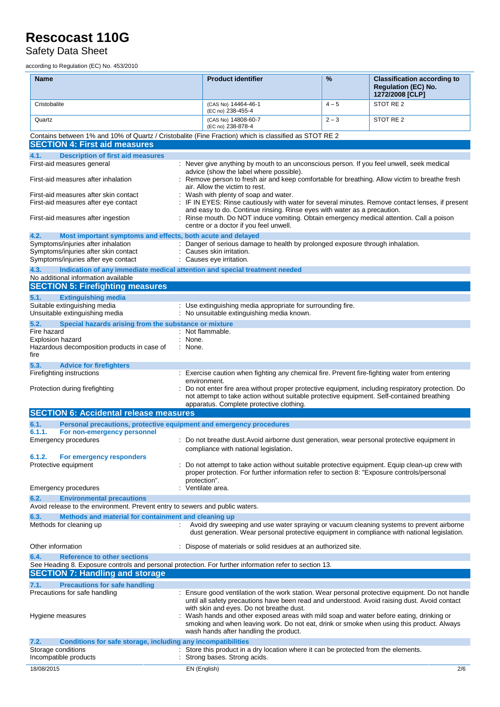Safety Data Sheet

according to Regulation (EC) No. 453/2010

| <b>Name</b>                                                                                                                                          | <b>Product identifier</b>                                                                                                                                                                                                       | %       | <b>Classification according to</b><br><b>Regulation (EC) No.</b><br>1272/2008 [CLP] |
|------------------------------------------------------------------------------------------------------------------------------------------------------|---------------------------------------------------------------------------------------------------------------------------------------------------------------------------------------------------------------------------------|---------|-------------------------------------------------------------------------------------|
| Cristobalite                                                                                                                                         | (CAS No) 14464-46-1<br>(EC no) 238-455-4                                                                                                                                                                                        | $4 - 5$ | STOT RE <sub>2</sub>                                                                |
| Quartz                                                                                                                                               | (CAS No) 14808-60-7<br>(EC no) 238-878-4                                                                                                                                                                                        | $2 - 3$ | STOT RE 2                                                                           |
| Contains between 1% and 10% of Quartz / Cristobalite (Fine Fraction) which is classified as STOT RE 2                                                |                                                                                                                                                                                                                                 |         |                                                                                     |
| <b>SECTION 4: First aid measures</b>                                                                                                                 |                                                                                                                                                                                                                                 |         |                                                                                     |
| <b>Description of first aid measures</b><br>4.1.                                                                                                     |                                                                                                                                                                                                                                 |         |                                                                                     |
| First-aid measures general                                                                                                                           | : Never give anything by mouth to an unconscious person. If you feel unwell, seek medical<br>advice (show the label where possible).                                                                                            |         |                                                                                     |
| First-aid measures after inhalation                                                                                                                  | Remove person to fresh air and keep comfortable for breathing. Allow victim to breathe fresh<br>air. Allow the victim to rest.                                                                                                  |         |                                                                                     |
| First-aid measures after skin contact<br>First-aid measures after eye contact                                                                        | Wash with plenty of soap and water.<br>IF IN EYES: Rinse cautiously with water for several minutes. Remove contact lenses, if present                                                                                           |         |                                                                                     |
| First-aid measures after ingestion                                                                                                                   | and easy to do. Continue rinsing. Rinse eyes with water as a precaution.<br>: Rinse mouth. Do NOT induce vomiting. Obtain emergency medical attention. Call a poison<br>centre or a doctor if you feel unwell.                  |         |                                                                                     |
| 4.2.<br>Most important symptoms and effects, both acute and delayed                                                                                  |                                                                                                                                                                                                                                 |         |                                                                                     |
| Symptoms/injuries after inhalation                                                                                                                   | : Danger of serious damage to health by prolonged exposure through inhalation.                                                                                                                                                  |         |                                                                                     |
| Symptoms/injuries after skin contact<br>Symptoms/injuries after eye contact                                                                          | Causes skin irritation.<br>: Causes eye irritation.                                                                                                                                                                             |         |                                                                                     |
| 4.3.<br>Indication of any immediate medical attention and special treatment needed<br>No additional information available                            |                                                                                                                                                                                                                                 |         |                                                                                     |
| <b>SECTION 5: Firefighting measures</b>                                                                                                              |                                                                                                                                                                                                                                 |         |                                                                                     |
| 5.1.<br><b>Extinguishing media</b>                                                                                                                   |                                                                                                                                                                                                                                 |         |                                                                                     |
| Suitable extinguishing media                                                                                                                         | : Use extinguishing media appropriate for surrounding fire.                                                                                                                                                                     |         |                                                                                     |
| Unsuitable extinguishing media                                                                                                                       | : No unsuitable extinguishing media known.                                                                                                                                                                                      |         |                                                                                     |
| 5.2.<br>Special hazards arising from the substance or mixture                                                                                        |                                                                                                                                                                                                                                 |         |                                                                                     |
| Fire hazard                                                                                                                                          | : Not flammable.                                                                                                                                                                                                                |         |                                                                                     |
| Explosion hazard<br>Hazardous decomposition products in case of                                                                                      | : None.<br>: None.                                                                                                                                                                                                              |         |                                                                                     |
| fire                                                                                                                                                 |                                                                                                                                                                                                                                 |         |                                                                                     |
| 5.3.<br><b>Advice for firefighters</b>                                                                                                               |                                                                                                                                                                                                                                 |         |                                                                                     |
| Firefighting instructions                                                                                                                            | : Exercise caution when fighting any chemical fire. Prevent fire-fighting water from entering                                                                                                                                   |         |                                                                                     |
|                                                                                                                                                      | environment.                                                                                                                                                                                                                    |         |                                                                                     |
| Protection during firefighting                                                                                                                       | Do not enter fire area without proper protective equipment, including respiratory protection. Do<br>not attempt to take action without suitable protective equipment. Self-contained breathing                                  |         |                                                                                     |
| <b>SECTION 6: Accidental release measures</b>                                                                                                        | apparatus. Complete protective clothing.                                                                                                                                                                                        |         |                                                                                     |
|                                                                                                                                                      |                                                                                                                                                                                                                                 |         |                                                                                     |
| Personal precautions, protective equipment and emergency procedures<br>6.1.<br>6.1.1.<br>For non-emergency personnel                                 |                                                                                                                                                                                                                                 |         |                                                                                     |
| <b>Emergency procedures</b>                                                                                                                          | : Do not breathe dust. Avoid airborne dust generation, wear personal protective equipment in                                                                                                                                    |         |                                                                                     |
|                                                                                                                                                      | compliance with national legislation.                                                                                                                                                                                           |         |                                                                                     |
| 6.1.2.<br>For emergency responders                                                                                                                   |                                                                                                                                                                                                                                 |         |                                                                                     |
| Protective equipment                                                                                                                                 | : Do not attempt to take action without suitable protective equipment. Equip clean-up crew with<br>proper protection. For further information refer to section 8: "Exposure controls/personal                                   |         |                                                                                     |
| Emergency procedures                                                                                                                                 | protection".<br>Ventilate area.                                                                                                                                                                                                 |         |                                                                                     |
| 6.2.<br><b>Environmental precautions</b>                                                                                                             |                                                                                                                                                                                                                                 |         |                                                                                     |
| Avoid release to the environment. Prevent entry to sewers and public waters.                                                                         |                                                                                                                                                                                                                                 |         |                                                                                     |
| 6.3.<br>Methods and material for containment and cleaning up                                                                                         |                                                                                                                                                                                                                                 |         |                                                                                     |
| Methods for cleaning up                                                                                                                              | Avoid dry sweeping and use water spraying or vacuum cleaning systems to prevent airborne<br>dust generation. Wear personal protective equipment in compliance with national legislation.                                        |         |                                                                                     |
| Other information                                                                                                                                    | : Dispose of materials or solid residues at an authorized site.                                                                                                                                                                 |         |                                                                                     |
| 6.4.<br><b>Reference to other sections</b><br>See Heading 8. Exposure controls and personal protection. For further information refer to section 13. |                                                                                                                                                                                                                                 |         |                                                                                     |
| <b>SECTION 7: Handling and storage</b>                                                                                                               |                                                                                                                                                                                                                                 |         |                                                                                     |
| <b>Precautions for safe handling</b><br>7.1.                                                                                                         |                                                                                                                                                                                                                                 |         |                                                                                     |
| Precautions for safe handling                                                                                                                        | Ensure good ventilation of the work station. Wear personal protective equipment. Do not handle<br>until all safety precautions have been read and understood. Avoid raising dust. Avoid contact                                 |         |                                                                                     |
|                                                                                                                                                      | with skin and eyes. Do not breathe dust.                                                                                                                                                                                        |         |                                                                                     |
| Hygiene measures                                                                                                                                     | : Wash hands and other exposed areas with mild soap and water before eating, drinking or<br>smoking and when leaving work. Do not eat, drink or smoke when using this product. Always<br>wash hands after handling the product. |         |                                                                                     |
| Conditions for safe storage, including any incompatibilities<br>7.2.                                                                                 |                                                                                                                                                                                                                                 |         |                                                                                     |
| Storage conditions                                                                                                                                   | : Store this product in a dry location where it can be protected from the elements.                                                                                                                                             |         |                                                                                     |
| Incompatible products                                                                                                                                | Strong bases. Strong acids.                                                                                                                                                                                                     |         |                                                                                     |
| 18/08/2015                                                                                                                                           | EN (English)                                                                                                                                                                                                                    |         | 2/6                                                                                 |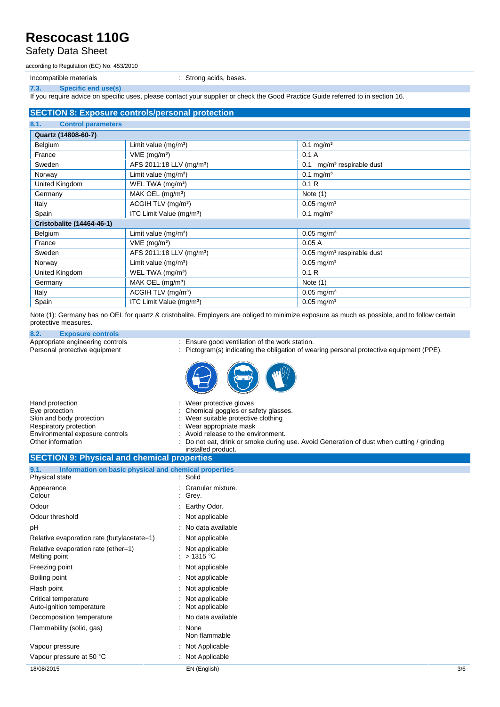Safety Data Sheet

according to Regulation (EC) No. 453/2010

Incompatible materials **incompatible materials incompatible materials incompatible materials** 

**7.3. Specific end use(s)**

If you require advice on specific uses, please contact your supplier or check the Good Practice Guide referred to in section 16.

### **SECTION 8: Exposure controls/personal protection**

| 8.1.<br><b>Control parameters</b> |                                      |                                          |
|-----------------------------------|--------------------------------------|------------------------------------------|
| Quartz (14808-60-7)               |                                      |                                          |
| Belgium                           | Limit value (mg/m <sup>3</sup> )     | $0.1 \text{ mg/m}^3$                     |
| France                            | $VME$ (mg/m <sup>3</sup> )           | 0.1A                                     |
| Sweden                            | AFS 2011:18 LLV (mg/m <sup>3</sup> ) | mg/m <sup>3</sup> respirable dust<br>0.1 |
| Norway                            | Limit value (mg/m <sup>3</sup> )     | $0.1$ mg/m <sup>3</sup>                  |
| United Kingdom                    | WEL TWA (mg/m <sup>3</sup> )         | 0.1R                                     |
| Germany                           | MAK OEL (mg/m <sup>3</sup> )         | Note $(1)$                               |
| Italy                             | ACGIH TLV (mg/m <sup>3</sup> )       | $0.05$ mg/m <sup>3</sup>                 |
| Spain                             | ITC Limit Value (mg/m <sup>3</sup> ) | $0.1$ mg/m <sup>3</sup>                  |
| <b>Cristobalite (14464-46-1)</b>  |                                      |                                          |
| Belgium                           | Limit value $(mg/m3)$                | $0.05$ mg/m <sup>3</sup>                 |
| France                            | $VME$ (mg/m <sup>3</sup> )           | 0.05A                                    |
| Sweden                            | AFS 2011:18 LLV (mg/m <sup>3</sup> ) | $0.05$ mg/m <sup>3</sup> respirable dust |
| Norway                            | Limit value $(mg/m^3)$               | $0.05$ mg/m <sup>3</sup>                 |
| United Kingdom                    | WEL TWA (mg/m <sup>3</sup> )         | 0.1R                                     |
| Germany                           | MAK OEL $(mg/m3)$                    | Note $(1)$                               |
| Italy                             | ACGIH TLV (mg/m <sup>3</sup> )       | $0.05 \,\mathrm{mg/m^3}$                 |
| Spain                             | ITC Limit Value (mg/m <sup>3</sup> ) | $0.05 \text{ mg/m}^3$                    |

Note (1): Germany has no OEL for quartz & cristobalite. Employers are obliged to minimize exposure as much as possible, and to follow certain protective measures.

## **8.2. Exposure controls**

Appropriate engineering controls : Ensure good ventilation of the work station.<br>
Personal protective equipment : Pictogram(s) indicating the obligation of wear

- 
- : Pictogram(s) indicating the obligation of wearing personal protective equipment (PPE).



| Hand protection                 | : Wear protective gloves                                                                  |
|---------------------------------|-------------------------------------------------------------------------------------------|
| Eve protection                  | : Chemical goggles or safety glasses.                                                     |
| Skin and body protection        | : Wear suitable protective clothing                                                       |
| Respiratory protection          | : Wear appropriate mask                                                                   |
| Environmental exposure controls | : Avoid release to the environment.                                                       |
| Other information               | : Do not eat, drink or smoke during use. Avoid Generation of dust when cutting / grinding |
|                                 | installed product.                                                                        |

### **SECTION 9: Physical and chemical properties 9.1. Information on basic physical and chemical properties** Physical state

| 3/6 |
|-----|
|     |
|     |
|     |
|     |
|     |
|     |
|     |
|     |
|     |
|     |
|     |
|     |
|     |
|     |
|     |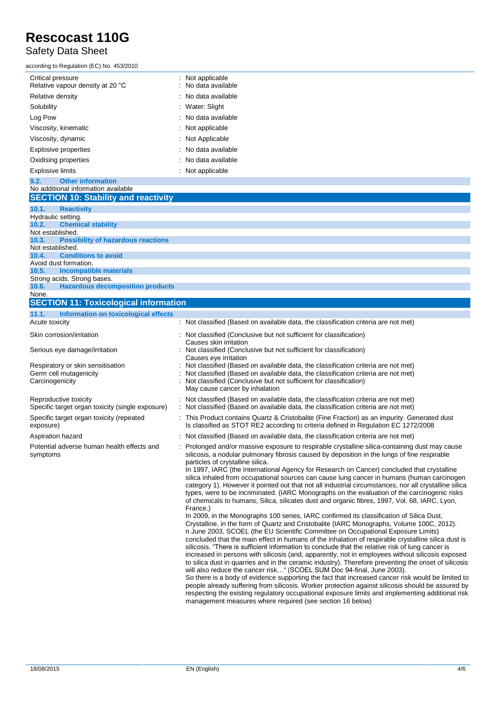### Safety Data Sheet

according to Regulation (EC) No. 453/2010

| ccording to Regulation (EC) No. 453/2010              |                                         |
|-------------------------------------------------------|-----------------------------------------|
| Critical pressure<br>Relative vapour density at 20 °C | : Not applicable<br>: No data available |
| Relative density                                      | $\therefore$ No data available          |
| Solubility                                            | : Water: Slight                         |
| Log Pow                                               | : No data available                     |
| Viscosity, kinematic                                  | : Not applicable                        |
| Viscosity, dynamic                                    | : Not Applicable                        |
| Explosive properties                                  | : No data available                     |
| Oxidising properties                                  | $\therefore$ No data available          |
| <b>Explosive limits</b>                               | : Not applicable                        |
|                                                       |                                         |

### **9.2. Other information** No additional information available **SECTION 10: Stability and reactivity 10.1. Reactivity** Hydraulic setting.<br>10.2. Chemi **10.2. Chemical stability** Not established. **10.3. Possibility of hazardous reactions** Not established.<br>10.4. Condi **10.4. Conditions to avoid** Avoid dust formation. **10.5. Incompatible materials** Strong acids. Strong bases.<br>10.6. Hazardous decor **10.6. Hazardous decomposition products** None. **SECTION 11: Toxicological information 11.1. Information on toxicological effects** Acute toxicity **intervals and the classified (Based on available data, the classification criteria are not met)**

#### Skin corrosion/irritation : Not classified (Conclusive but not sufficient for classification) Causes skin irritation Serious eye damage/irritation : Not classified (Conclusive but not sufficient for classification) Causes eye irritation Respiratory or skin sensitisation : Not classified (Based on available data, the classification criteria are not met) Germ cell mutagenicity **interpretent contracts** : Not classified (Based on available data, the classification criteria are not met) Carcinogenicity : Not classified (Conclusive but not sufficient for classification) May cause cancer by inhalation Reproductive toxicity **in the classified (Based on available data**, the classification criteria are not met) Specific target organ toxicity (single exposure) : Not classified (Based on available data, the classification criteria are not met) Specific target organ toxicity (repeated exposure) : This Product contains Quartz & Cristobalite (Fine Fraction) as an impurity. Generated dust Is classified as STOT RE2 according to criteria defined in Regulation EC 1272/2008 Aspiration hazard **in the classified (Based on available data, the classification criteria are not met)**  $\cdot$  Not classified (Based on available data, the classification criteria are not met) Potential adverse human health effects and symptoms : Prolonged and/or massive exposure to respirable crystalline silica-containing dust may cause silicosis, a nodular pulmonary fibrosis caused by deposition in the lungs of fine respirable particles of crystalline silica. In 1997, IARC (the International Agency for Research on Cancer) concluded that crystalline silica inhaled from occupational sources can cause lung cancer in humans (human carcinogen category 1). However it pointed out that not all industrial circumstances, nor all crystalline silica types, were to be incriminated. (IARC Monographs on the evaluation of the carcinogenic risks of chemicals to humans, Silica, silicates dust and organic fibres, 1997, Vol. 68, IARC, Lyon, France.) In 2009, in the Monographs 100 series, IARC confirmed its classification of Silica Dust, Crystalline, in the form of Quartz and Cristobalite (IARC Monographs, Volume 100C, 2012). n June 2003, SCOEL (the EU Scientific Committee on Occupational Exposure Limits) concluded that the main effect in humans of the inhalation of respirable crystalline silica dust is in June 2003, SCOEL (the EU Scientific Committee on Occupational Exposure Limits)<br>concluded that the main effect in humans of the inhalation of respirable crystalline silica dust is<br>silicosis. "There is sufficient informat

increased in persons with silicosis (and, apparently, not in employees without silicosis exposed<br>to silica dust in quarries and in the ceramic industry). Therefore preventing the onset of silicosis<br>will also reduce the can to silica dust in quarries and in the ceramic industry). Therefore preventing the onset of silicosis will also reduce the cancer risk..." (SCOEL SUM Doc 94-final, June 2003). So there is a body of evidence supporting the fact that increased cancer risk would be limited to

people already suffering from silicosis. Worker protection against silicosis should be assured by respecting the existing regulatory occupational exposure limits and implementing additional risk management measures where required (see section 16 below)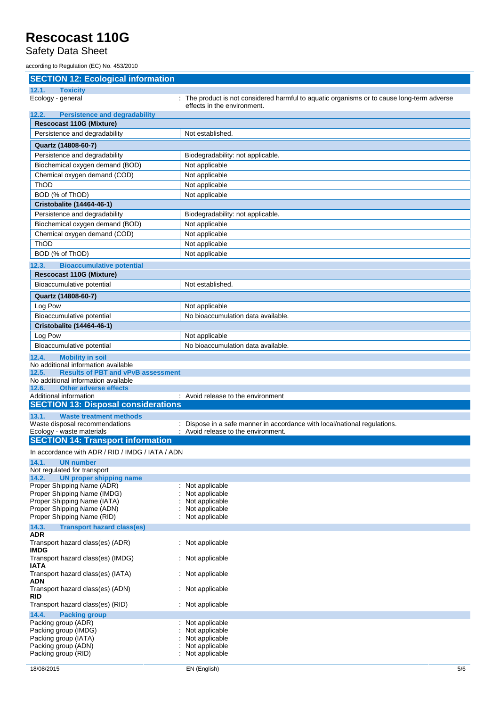Safety Data Sheet

according to Regulation (EC) No. 453/2010

| <b>SECTION 12: Ecological information</b>                                    |                                                                                            |
|------------------------------------------------------------------------------|--------------------------------------------------------------------------------------------|
| 12.1.<br><b>Toxicity</b>                                                     |                                                                                            |
| Ecology - general                                                            | : The product is not considered harmful to aquatic organisms or to cause long-term adverse |
| 12.2.<br><b>Persistence and degradability</b>                                | effects in the environment.                                                                |
| <b>Rescocast 110G (Mixture)</b>                                              |                                                                                            |
| Persistence and degradability                                                | Not established.                                                                           |
|                                                                              |                                                                                            |
| Quartz (14808-60-7)                                                          |                                                                                            |
| Persistence and degradability                                                | Biodegradability: not applicable.                                                          |
| Biochemical oxygen demand (BOD)                                              | Not applicable                                                                             |
| Chemical oxygen demand (COD)<br><b>ThOD</b>                                  | Not applicable<br>Not applicable                                                           |
| BOD (% of ThOD)                                                              | Not applicable                                                                             |
| Cristobalite (14464-46-1)                                                    |                                                                                            |
| Persistence and degradability                                                | Biodegradability: not applicable.                                                          |
| Biochemical oxygen demand (BOD)                                              | Not applicable                                                                             |
| Chemical oxygen demand (COD)                                                 | Not applicable                                                                             |
| <b>ThOD</b>                                                                  | Not applicable                                                                             |
| BOD (% of ThOD)                                                              | Not applicable                                                                             |
|                                                                              |                                                                                            |
| 12.3.<br><b>Bioaccumulative potential</b><br><b>Rescocast 110G (Mixture)</b> |                                                                                            |
| Bioaccumulative potential                                                    | Not established.                                                                           |
|                                                                              |                                                                                            |
| Quartz (14808-60-7)                                                          |                                                                                            |
| Log Pow                                                                      | Not applicable                                                                             |
| Bioaccumulative potential                                                    | No bioaccumulation data available.                                                         |
| <b>Cristobalite (14464-46-1)</b>                                             |                                                                                            |
| Log Pow                                                                      | Not applicable                                                                             |
| Bioaccumulative potential                                                    | No bioaccumulation data available.                                                         |
| 12.4.<br><b>Mobility in soil</b><br>No additional information available      |                                                                                            |
| <b>Results of PBT and vPvB assessment</b><br>12.5.                           |                                                                                            |
| No additional information available                                          |                                                                                            |
| 12.6.<br><b>Other adverse effects</b>                                        |                                                                                            |
| Additional information<br><b>SECTION 13: Disposal considerations</b>         | : Avoid release to the environment                                                         |
| 13.1.<br><b>Waste treatment methods</b>                                      |                                                                                            |
| Waste disposal recommendations                                               | : Dispose in a safe manner in accordance with local/national regulations.                  |
| Ecology - waste materials                                                    | : Avoid release to the environment.                                                        |
| <b>SECTION 14: Transport information</b>                                     |                                                                                            |
| In accordance with ADR / RID / IMDG / IATA / ADN                             |                                                                                            |
| 14.1.<br><b>UN number</b>                                                    |                                                                                            |
| Not regulated for transport                                                  |                                                                                            |
| 14.2.<br><b>UN proper shipping name</b><br>Proper Shipping Name (ADR)        | : Not applicable                                                                           |
| Proper Shipping Name (IMDG)                                                  | Not applicable                                                                             |
| Proper Shipping Name (IATA)                                                  | Not applicable                                                                             |
| Proper Shipping Name (ADN)                                                   | Not applicable                                                                             |
| Proper Shipping Name (RID)                                                   | Not applicable                                                                             |
| 14.3.<br><b>Transport hazard class(es)</b><br><b>ADR</b>                     |                                                                                            |
| Transport hazard class(es) (ADR)<br><b>IMDG</b>                              | : Not applicable                                                                           |
| Transport hazard class(es) (IMDG)<br><b>IATA</b>                             | : Not applicable                                                                           |
| Transport hazard class(es) (IATA)<br><b>ADN</b>                              | : Not applicable                                                                           |
| Transport hazard class(es) (ADN)<br><b>RID</b>                               | : Not applicable                                                                           |
| Transport hazard class(es) (RID)                                             | : Not applicable                                                                           |
| 14.4.<br><b>Packing group</b>                                                |                                                                                            |
| Packing group (ADR)<br>Packing group (IMDG)                                  | Not applicable<br>Not applicable                                                           |
| Packing group (IATA)                                                         | Not applicable                                                                             |
| Packing group (ADN)                                                          | Not applicable                                                                             |
| Packing group (RID)                                                          | Not applicable                                                                             |